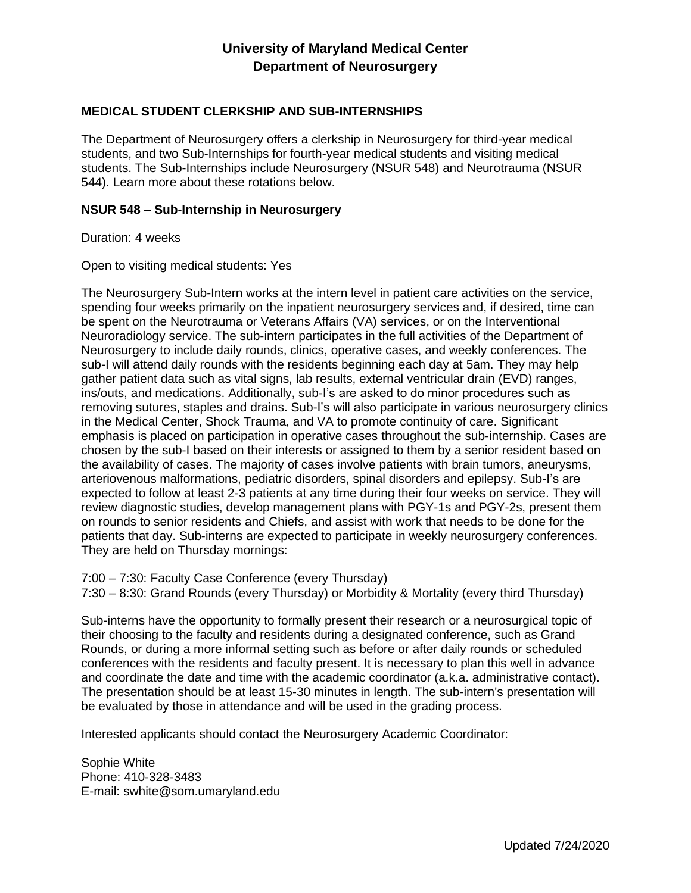# **University of Maryland Medical Center Department of Neurosurgery**

### **MEDICAL STUDENT CLERKSHIP AND SUB-INTERNSHIPS**

The Department of Neurosurgery offers a clerkship in Neurosurgery for third-year medical students, and two Sub-Internships for fourth-year medical students and visiting medical students. The Sub-Internships include Neurosurgery (NSUR 548) and Neurotrauma (NSUR 544). Learn more about these rotations below.

#### **NSUR 548 – Sub-Internship in Neurosurgery**

Duration: 4 weeks

Open to visiting medical students: Yes

The Neurosurgery Sub-Intern works at the intern level in patient care activities on the service, spending four weeks primarily on the inpatient neurosurgery services and, if desired, time can be spent on the Neurotrauma or Veterans Affairs (VA) services, or on the Interventional Neuroradiology service. The sub-intern participates in the full activities of the Department of Neurosurgery to include daily rounds, clinics, operative cases, and weekly conferences. The sub-I will attend daily rounds with the residents beginning each day at 5am. They may help gather patient data such as vital signs, lab results, external ventricular drain (EVD) ranges, ins/outs, and medications. Additionally, sub-I's are asked to do minor procedures such as removing sutures, staples and drains. Sub-I's will also participate in various neurosurgery clinics in the Medical Center, Shock Trauma, and VA to promote continuity of care. Significant emphasis is placed on participation in operative cases throughout the sub-internship. Cases are chosen by the sub-I based on their interests or assigned to them by a senior resident based on the availability of cases. The majority of cases involve patients with brain tumors, aneurysms, arteriovenous malformations, pediatric disorders, spinal disorders and epilepsy. Sub-I's are expected to follow at least 2-3 patients at any time during their four weeks on service. They will review diagnostic studies, develop management plans with PGY-1s and PGY-2s, present them on rounds to senior residents and Chiefs, and assist with work that needs to be done for the patients that day. Sub-interns are expected to participate in weekly neurosurgery conferences. They are held on Thursday mornings:

7:00 – 7:30: Faculty Case Conference (every Thursday)

7:30 – 8:30: Grand Rounds (every Thursday) or Morbidity & Mortality (every third Thursday)

Sub-interns have the opportunity to formally present their research or a neurosurgical topic of their choosing to the faculty and residents during a designated conference, such as Grand Rounds, or during a more informal setting such as before or after daily rounds or scheduled conferences with the residents and faculty present. It is necessary to plan this well in advance and coordinate the date and time with the academic coordinator (a.k.a. administrative contact). The presentation should be at least 15-30 minutes in length. The sub-intern's presentation will be evaluated by those in attendance and will be used in the grading process.

Interested applicants should contact the Neurosurgery Academic Coordinator:

Sophie White Phone: 410-328-3483 E-mail: swhite@som.umaryland.edu